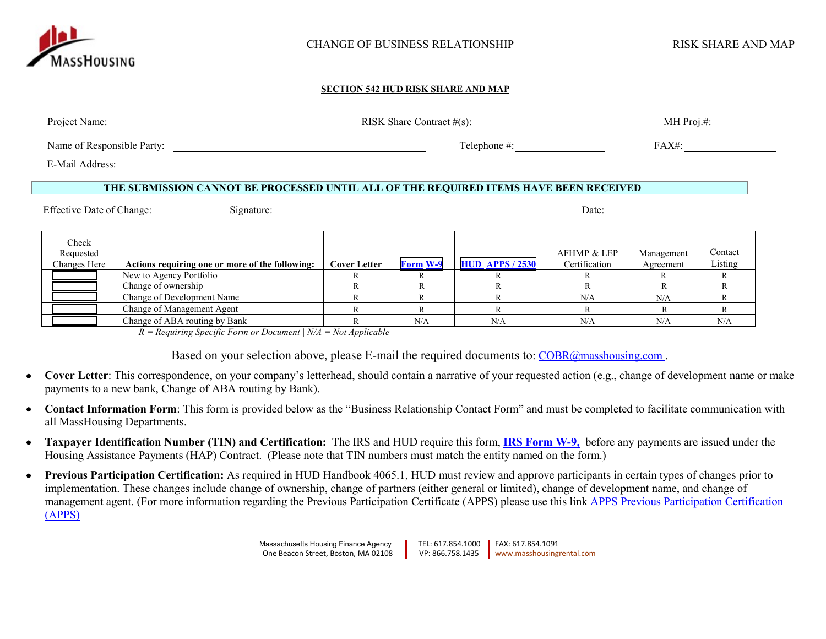

## **SECTION 542 HUD RISK SHARE AND MAP**

| Project Name:              |                                                                                                                      |  | RISK Share Contract $#(s)$ : | MH $Proj. \#$ : |            |         |
|----------------------------|----------------------------------------------------------------------------------------------------------------------|--|------------------------------|-----------------|------------|---------|
| Name of Responsible Party: |                                                                                                                      |  | Telephone $\#$ :             |                 | FAX#:      |         |
| E-Mail Address:            | <u> 1980 - Jan Samuel Barbara, martin da shekara 1980 - An tsa a tsa a tsa a tsa a tsa a tsa a tsa a tsa a tsa a</u> |  |                              |                 |            |         |
|                            | THE SUBMISSION CANNOT BE PROCESSED UNTIL ALL OF THE REQUIRED ITEMS HAVE BEEN RECEIVED                                |  |                              |                 |            |         |
| Effective Date of Change:  | Signature:                                                                                                           |  |                              |                 | Date:      |         |
| Check<br>Requested         |                                                                                                                      |  |                              | AFHMP & LEP     | Management | Contact |

| waasaa                                                                |                                                 |              |                 |                        | $111111 \times L11$ | management | -------- |
|-----------------------------------------------------------------------|-------------------------------------------------|--------------|-----------------|------------------------|---------------------|------------|----------|
| Changes Here                                                          | Actions requiring one or more of the following: | Cover Letter | <b>Form W-9</b> | <b>HUD APPS / 2530</b> | Certification       | Agreement  | Listing  |
|                                                                       | New to Agency Portfolio                         |              |                 |                        |                     |            |          |
|                                                                       | Change of ownership                             |              |                 |                        |                     |            |          |
|                                                                       | Change of Development Name                      |              |                 |                        | N/A                 | N/A        |          |
|                                                                       | Change of Management Agent                      |              |                 |                        |                     |            |          |
|                                                                       | Change of ABA routing by Bank                   |              |                 | N/4                    | N/A                 | N/A        | N/A      |
| $D = D_0$ antipipe Consider Form on December $N/d = N_0 t$ Applicable |                                                 |              |                 |                        |                     |            |          |

*R = Requiring Specific Form or Document | N/A = Not Applicable*

Based on your selection above, please E-mail the required documents to: [COBR@masshousing.com](mailto:COBR@masshousing.com).

- **Cover Letter**: This correspondence, on your company's letterhead, should contain a narrative of your requested action (e.g., change of development name or make payments to a new bank, Change of ABA routing by Bank).
- **Contact Information Form**: This form is provided below as the "Business Relationship Contact Form" and must be completed to facilitate communication with all MassHousing Departments.
- **Taxpayer Identification Number (TIN) and Certification:** The IRS and HUD require this form, **[IRS Form W-9,](https://www.irs.gov/pub/irs-pdf/fw9.pdf)** before any payments are issued under the Housing Assistance Payments (HAP) Contract. (Please note that TIN numbers must match the entity named on the form.)
- **Previous Participation Certification:** As required in HUD Handbook 4065.1, HUD must review and approve participants in certain types of changes prior to implementation. These changes include change of ownership, change of partners (either general or limited), change of development name, and change of management agent. (For more information regarding the Previous Participation Certificate (APPS) please use this link [APPS Previous Participation Certification](http://portal.hud.gov/hudportal/HUD?src=/program_offices/housing/mfh/apps/appsmfhm) [\(APPS\)](http://portal.hud.gov/hudportal/HUD?src=/program_offices/housing/mfh/apps/appsmfhm)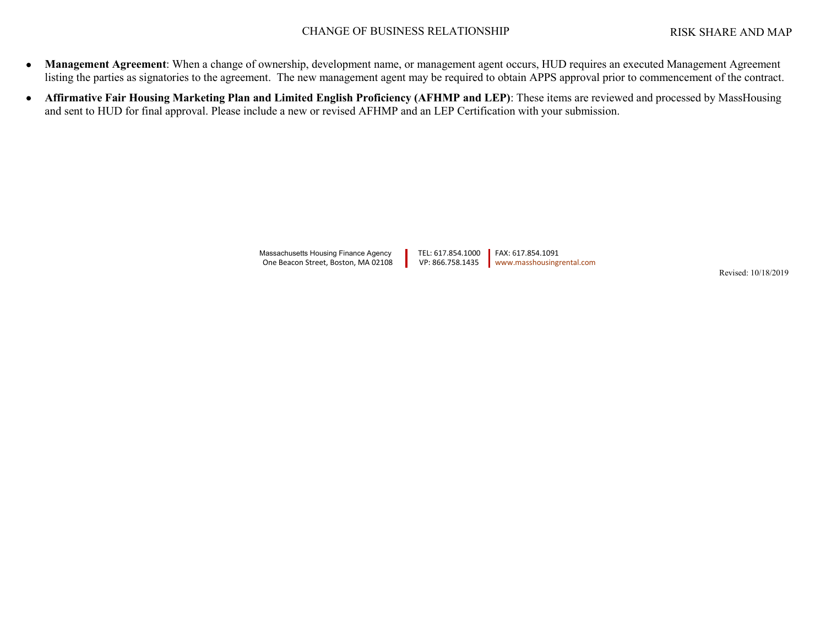- **Management Agreement**: When a change of ownership, development name, or management agent occurs, HUD requires an executed Management Agreement listing the parties as signatories to the agreement. The new management agent may be required to obtain APPS approval prior to commencement of the contract.
- **Affirmative Fair Housing Marketing Plan and Limited English Proficiency (AFHMP and LEP)**: These items are reviewed and processed by MassHousing and sent to HUD for final approval. Please include a new or revised AFHMP and an LEP Certification with your submission.

Massachusetts Housing Finance Agency TEL: 617.854.1000 FAX: 617.854.1091<br>One Beacon Street, Boston, MA 02108 VP: 866.758.1435 Www.masshousing One Beacon Street, Boston, MA 02108 VP: 866.758.1435 [www.masshousingrental.com](http://www.masshousingrental.com/)

Revised: 10/18/2019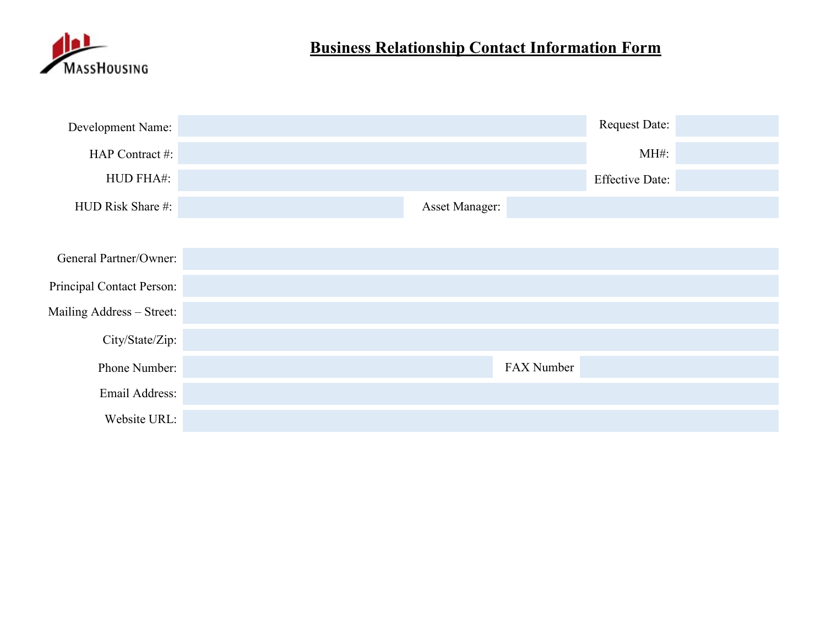

## **Business Relationship Contact Information Form**

|                | Request Date:          |  |
|----------------|------------------------|--|
|                | $MH#$ :                |  |
|                | <b>Effective Date:</b> |  |
| Asset Manager: |                        |  |
|                |                        |  |
|                |                        |  |
|                |                        |  |
|                |                        |  |
|                |                        |  |
|                |                        |  |
|                |                        |  |
|                |                        |  |
|                | FAX Number             |  |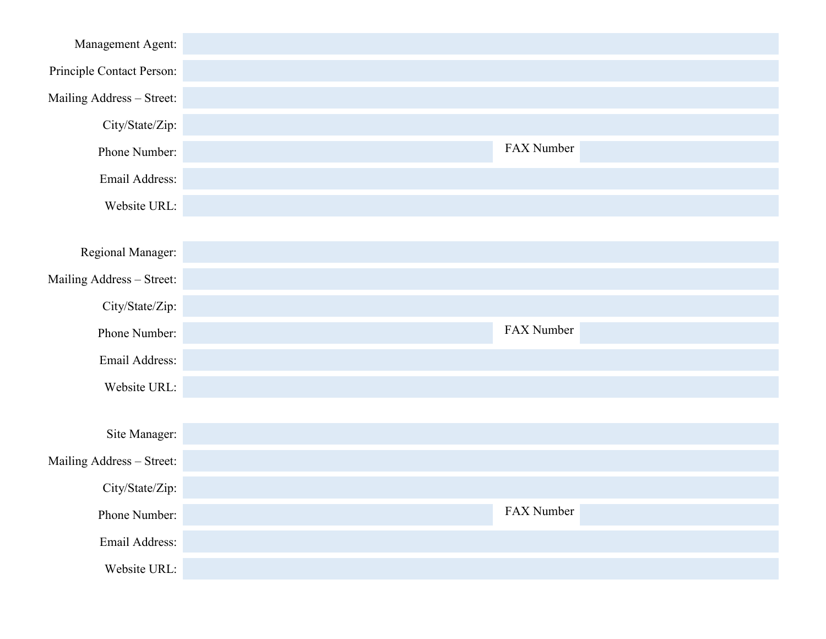| Management Agent:         |            |
|---------------------------|------------|
| Principle Contact Person: |            |
| Mailing Address - Street: |            |
| City/State/Zip:           |            |
| Phone Number:             | FAX Number |
| Email Address:            |            |
| Website URL:              |            |
|                           |            |
| Regional Manager:         |            |
| Mailing Address - Street: |            |
| City/State/Zip:           |            |
| Phone Number:             | FAX Number |
| Email Address:            |            |
| Website URL:              |            |
|                           |            |
| Site Manager:             |            |
| Mailing Address - Street: |            |
| City/State/Zip:           |            |
| Phone Number:             | FAX Number |
| Email Address:            |            |
| Website URL:              |            |